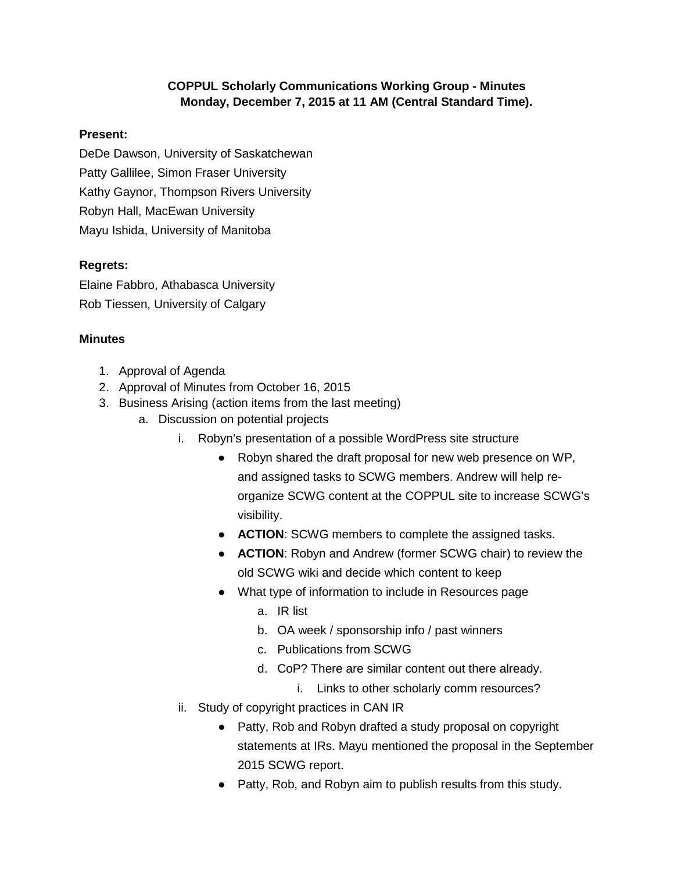## **COPPUL Scholarly Communications Working Group - Minutes Monday, December 7, 2015 at 11 AM (Central Standard Time).**

## **Present:**

DeDe Dawson, University of Saskatchewan

Patty Gallilee, Simon Fraser University

Kathy Gaynor, Thompson Rivers University

Robyn Hall, MacEwan University

Mayu Ishida, University of Manitoba

## **Regrets:**

Elaine Fabbro, Athabasca University Rob Tiessen, University of Calgary

## **Minutes**

- 1. Approval of Agenda
- 2. Approval of Minutes from October 16, 2015
- 3. Business Arising (action items from the last meeting)
	- a. Discussion on potential projects
		- i. Robyn's presentation of a possible WordPress site structure
			- Robyn shared the draft proposal for new web presence on WP, and assigned tasks to SCWG members. Andrew will help reorganize SCWG content at the COPPUL site to increase SCWG's visibility.
			- **ACTION**: SCWG members to complete the assigned tasks.
			- **ACTION**: Robyn and Andrew (former SCWG chair) to review the old SCWG wiki and decide which content to keep
			- What type of information to include in Resources page
				- a. IR list
				- b. OA week / sponsorship info / past winners
				- c. Publications from SCWG
				- d. CoP? There are similar content out there already.
					- i. Links to other scholarly comm resources?
		- ii. Study of copyright practices in CAN IR
			- Patty, Rob and Robyn drafted a study proposal on copyright statements at IRs. Mayu mentioned the proposal in the September 2015 SCWG report.
			- Patty, Rob, and Robyn aim to publish results from this study.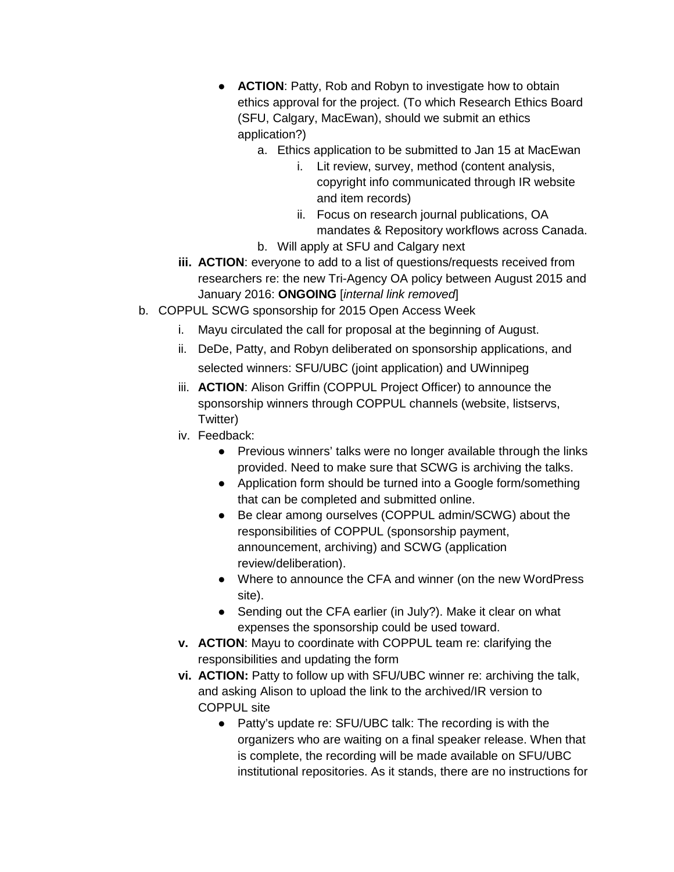- **ACTION: Patty, Rob and Robyn to investigate how to obtain** ethics approval for the project. (To which Research Ethics Board (SFU, Calgary, MacEwan), should we submit an ethics application?)
	- a. Ethics application to be submitted to Jan 15 at MacEwan
		- i. Lit review, survey, method (content analysis, copyright info communicated through IR website and item records)
		- ii. Focus on research journal publications, OA mandates & Repository workflows across Canada.
	- b. Will apply at SFU and Calgary next
- **iii. ACTION**: everyone to add to a list of questions/requests received from researchers re: the new Tri-Agency OA policy between August 2015 and January 2016: **ONGOING** [*internal link removed*]
- b. COPPUL SCWG sponsorship for 2015 Open Access Week
	- i. Mayu circulated the call for proposal at the beginning of August.
	- ii. DeDe, Patty, and Robyn deliberated on sponsorship applications, and selected winners: SFU/UBC (joint application) and UWinnipeg
	- iii. **ACTION**: Alison Griffin (COPPUL Project Officer) to announce the sponsorship winners through COPPUL channels (website, listservs, Twitter)
	- iv. Feedback:
		- Previous winners' talks were no longer available through the links provided. Need to make sure that SCWG is archiving the talks.
		- Application form should be turned into a Google form/something that can be completed and submitted online.
		- Be clear among ourselves (COPPUL admin/SCWG) about the responsibilities of COPPUL (sponsorship payment, announcement, archiving) and SCWG (application review/deliberation).
		- Where to announce the CFA and winner (on the new WordPress site).
		- Sending out the CFA earlier (in July?). Make it clear on what expenses the sponsorship could be used toward.
	- **v. ACTION**: Mayu to coordinate with COPPUL team re: clarifying the responsibilities and updating the form
	- **vi. ACTION:** Patty to follow up with SFU/UBC winner re: archiving the talk, and asking Alison to upload the link to the archived/IR version to COPPUL site
		- Patty's update re: SFU/UBC talk: The recording is with the organizers who are waiting on a final speaker release. When that is complete, the recording will be made available on SFU/UBC institutional repositories. As it stands, there are no instructions for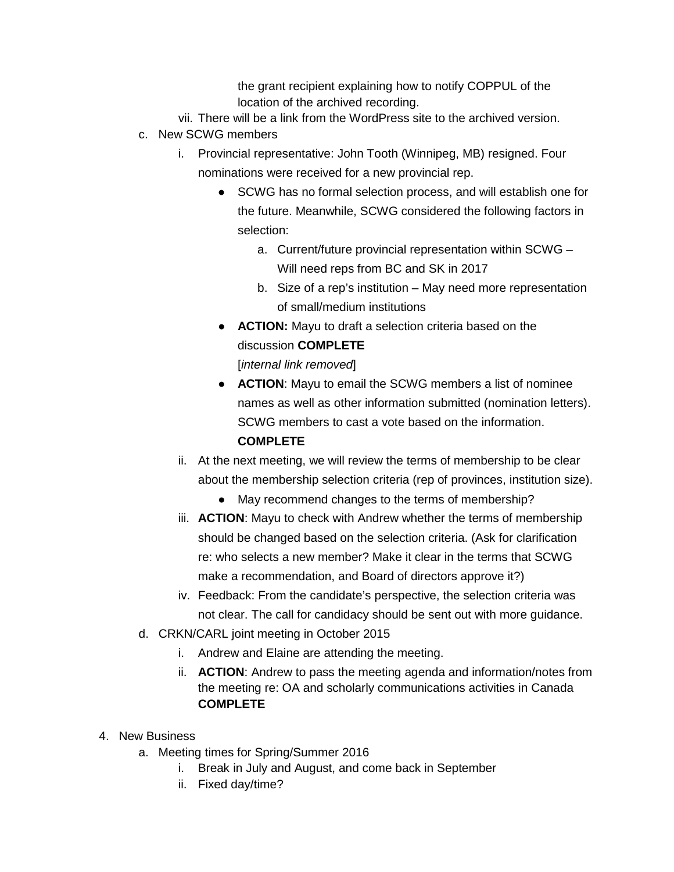the grant recipient explaining how to notify COPPUL of the location of the archived recording.

- vii. There will be a link from the WordPress site to the archived version.
- c. New SCWG members
	- i. Provincial representative: John Tooth (Winnipeg, MB) resigned. Four nominations were received for a new provincial rep.
		- SCWG has no formal selection process, and will establish one for the future. Meanwhile, SCWG considered the following factors in selection:
			- a. Current/future provincial representation within SCWG Will need reps from BC and SK in 2017
			- b. Size of a rep's institution May need more representation of small/medium institutions
		- **ACTION:** Mayu to draft a selection criteria based on the discussion **COMPLETE** [*internal link removed*]
		- **ACTION**: Mayu to email the SCWG members a list of nominee names as well as other information submitted (nomination letters). SCWG members to cast a vote based on the information. **COMPLETE**
	- ii. At the next meeting, we will review the terms of membership to be clear about the membership selection criteria (rep of provinces, institution size).
		- May recommend changes to the terms of membership?
	- iii. **ACTION**: Mayu to check with Andrew whether the terms of membership should be changed based on the selection criteria. (Ask for clarification re: who selects a new member? Make it clear in the terms that SCWG make a recommendation, and Board of directors approve it?)
	- iv. Feedback: From the candidate's perspective, the selection criteria was not clear. The call for candidacy should be sent out with more guidance.
- d. CRKN/CARL joint meeting in October 2015
	- i. Andrew and Elaine are attending the meeting.
	- ii. **ACTION**: Andrew to pass the meeting agenda and information/notes from the meeting re: OA and scholarly communications activities in Canada **COMPLETE**
- 4. New Business
	- a. Meeting times for Spring/Summer 2016
		- i. Break in July and August, and come back in September
		- ii. Fixed day/time?